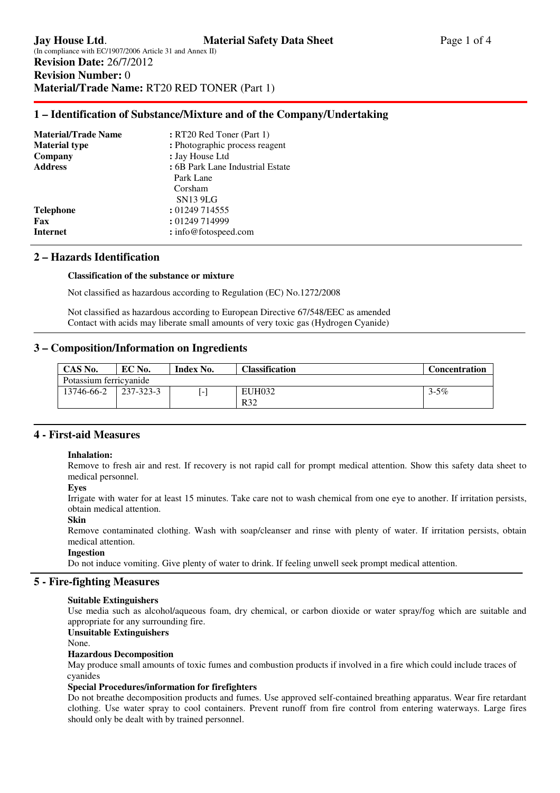## **1 – Identification of Substance/Mixture and of the Company/Undertaking**

| <b>Material/Trade Name</b> | : RT20 Red Toner (Part 1)        |
|----------------------------|----------------------------------|
| <b>Material type</b>       | : Photographic process reagent   |
| Company                    | : Jay House Ltd                  |
| <b>Address</b>             | : 6B Park Lane Industrial Estate |
|                            | Park Lane                        |
|                            | Corsham                          |
|                            | <b>SN13 9LG</b>                  |
| <b>Telephone</b>           | : 01249 714555                   |
| Fax                        | : 01249 714999                   |
| Internet                   | : info@fotospeed.com             |
|                            |                                  |

## **2 – Hazards Identification**

### **Classification of the substance or mixture**

Not classified as hazardous according to Regulation (EC) No.1272/2008

 Not classified as hazardous according to European Directive 67/548/EEC as amended Contact with acids may liberate small amounts of very toxic gas (Hydrogen Cyanide)

## **3 – Composition/Information on Ingredients**

| CAS No.                | EC No.    | Index No. | Classification       | <b>Concentration</b> |
|------------------------|-----------|-----------|----------------------|----------------------|
| Potassium ferricyanide |           |           |                      |                      |
| 13746-66-2             | 237-323-3 |           | <b>EUH032</b><br>R32 | $3 - 5\%$            |

## **4 - First-aid Measures**

#### **Inhalation:**

Remove to fresh air and rest. If recovery is not rapid call for prompt medical attention. Show this safety data sheet to medical personnel.

#### **Eyes**

Irrigate with water for at least 15 minutes. Take care not to wash chemical from one eye to another. If irritation persists, obtain medical attention.

#### **Skin**

Remove contaminated clothing. Wash with soap/cleanser and rinse with plenty of water. If irritation persists, obtain medical attention.

### **Ingestion**

Do not induce vomiting. Give plenty of water to drink. If feeling unwell seek prompt medical attention.

## **5 - Fire-fighting Measures**

#### **Suitable Extinguishers**

Use media such as alcohol/aqueous foam, dry chemical, or carbon dioxide or water spray/fog which are suitable and appropriate for any surrounding fire.

### **Unsuitable Extinguishers**

None.

#### **Hazardous Decomposition**

May produce small amounts of toxic fumes and combustion products if involved in a fire which could include traces of cyanides

#### **Special Procedures/information for firefighters**

Do not breathe decomposition products and fumes. Use approved self-contained breathing apparatus. Wear fire retardant clothing. Use water spray to cool containers. Prevent runoff from fire control from entering waterways. Large fires should only be dealt with by trained personnel.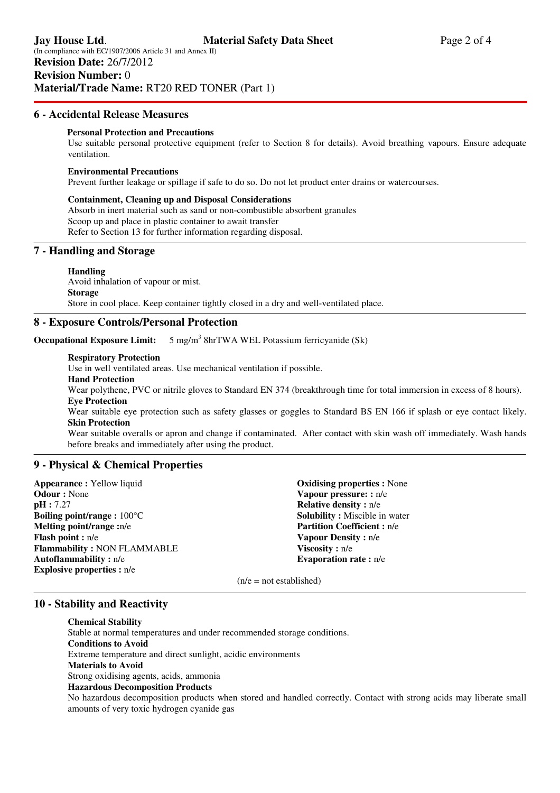## **6 - Accidental Release Measures**

### **Personal Protection and Precautions**

 Use suitable personal protective equipment (refer to Section 8 for details). Avoid breathing vapours. Ensure adequate ventilation.

#### **Environmental Precautions**

Prevent further leakage or spillage if safe to do so. Do not let product enter drains or watercourses.

**Containment, Cleaning up and Disposal Considerations**  Absorb in inert material such as sand or non-combustible absorbent granules Scoop up and place in plastic container to await transfer Refer to Section 13 for further information regarding disposal.

## **7 - Handling and Storage**

#### **Handling**

Avoid inhalation of vapour or mist. **Storage**  Store in cool place. Keep container tightly closed in a dry and well-ventilated place.

### **8 - Exposure Controls/Personal Protection**

**Occupational Exposure Limit:**  $5$  mg/m<sup>3</sup> 8hrTWA WEL Potassium ferricyanide (Sk)

### **Respiratory Protection**

Use in well ventilated areas. Use mechanical ventilation if possible.

**Hand Protection** 

Wear polythene, PVC or nitrile gloves to Standard EN 374 (breakthrough time for total immersion in excess of 8 hours). **Eye Protection** 

 Wear suitable eye protection such as safety glasses or goggles to Standard BS EN 166 if splash or eye contact likely. **Skin Protection** 

Wear suitable overalls or apron and change if contaminated. After contact with skin wash off immediately. Wash hands before breaks and immediately after using the product.

## **9 - Physical & Chemical Properties**

**Appearance :** Yellow liquid **Odour :** None **pH :** 7.27 **Boiling point/range :** 100°C **Melting point/range :**n/e **Flash point :** n/e **Flammability :** NON FLAMMABLE **Autoflammability :** n/e **Explosive properties :** n/e

**Oxidising properties :** None **Vapour pressure: :** n/e **Relative density :** n/e **Solubility :** Miscible in water **Partition Coefficient :** n/e **Vapour Density :** n/e **Viscosity :** n/e **Evaporation rate :** n/e

 $(n/e = not established)$ 

## **10 - Stability and Reactivity**

**Chemical Stability** 

 Stable at normal temperatures and under recommended storage conditions. **Conditions to Avoid**  Extreme temperature and direct sunlight, acidic environments **Materials to Avoid**  Strong oxidising agents, acids, ammonia **Hazardous Decomposition Products**  No hazardous decomposition products when stored and handled correctly. Contact with strong acids may liberate small amounts of very toxic hydrogen cyanide gas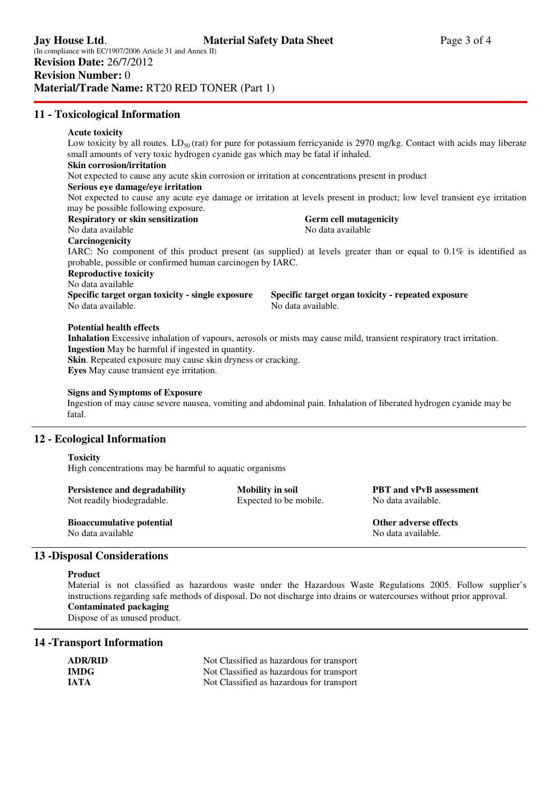## **11 - Toxicological Information**

#### **Acute toxicity**

Low toxicity by all routes. LD<sub>50</sub> (rat) for pure for potassium ferricyanide is 2970 mg/kg. Contact with acids may liberate small amounts of very toxic hydrogen cyanide gas which may be fatal if inhaled.

### **Skin corrosion/irritation**

Not expected to cause any acute skin corrosion or irritation at concentrations present in product

#### **Serious eye damage/eye irritation**

Not expected to cause any acute eye damage or irritation at levels present in product; low level transient eye irritation may be possible following exposure.

# **Respiratory or skin sensitization and Germ cell mutagenicity or skin sensitization**

No data available No data available

## **Carcinogenicity**

IARC: No component of this product present (as supplied) at levels greater than or equal to 0.1% is identified as probable, possible or confirmed human carcinogen by IARC.

### **Reproductive toxicity**

No data available Specific target organ toxicity - single exposure Specific target organ toxicity - repeated exposure No data available. No data available.

### **Potential health effects**

**Inhalation** Excessive inhalation of vapours, aerosols or mists may cause mild, transient respiratory tract irritation. **Ingestion** May be harmful if ingested in quantity.

**Skin**. Repeated exposure may cause skin dryness or cracking. **Eyes** May cause transient eye irritation.

#### **Signs and Symptoms of Exposure**

Ingestion of may cause severe nausea, vomiting and abdominal pain. Inhalation of liberated hydrogen cyanide may be fatal.

## **12 - Ecological Information**

#### **Toxicity**

High concentrations may be harmful to aquatic organisms

| <b>Persistence and degradability</b> | <b>Mobility in soil</b> | <b>PBT</b> and vPvB assessment |
|--------------------------------------|-------------------------|--------------------------------|
| Not readily biodegradable.           | Expected to be mobile.  | No data available.             |
| <b>Bioaccumulative potential</b>     |                         | Other adverse effects          |

No data available not be a set of the No data available.

## **13 -Disposal Considerations**

## **Product**

Material is not classified as hazardous waste under the Hazardous Waste Regulations 2005. Follow supplier's instructions regarding safe methods of disposal. Do not discharge into drains or watercourses without prior approval. **Contaminated packaging** 

Dispose of as unused product.

## **14 -Transport Information**

| <b>ADR/RID</b> | Not Classified as hazardous for transport |
|----------------|-------------------------------------------|
| <b>IMDG</b>    | Not Classified as hazardous for transport |
| <b>JATA</b>    | Not Classified as hazardous for transport |